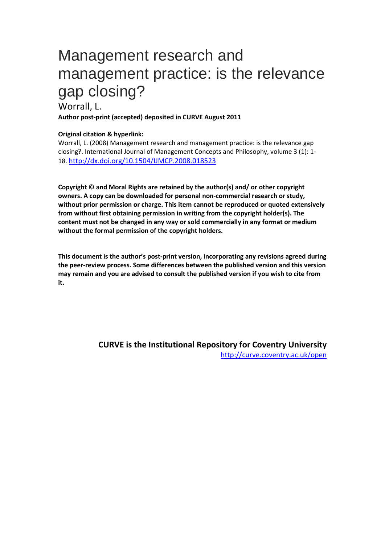# Management research and management practice: is the relevance gap closing?

# Worrall, L.

**Author post-print (accepted) deposited in CURVE August 2011**

#### **Original citation & hyperlink:**

Worrall, L. (2008) Management research and management practice: is the relevance gap closing?. International Journal of Management Concepts and Philosophy, volume 3 (1): 1- 18. http://dx.doi.org/10.1504/IJMCP.2008.018523

**Copyright © and Moral Rights are retained by the author(s) and/ or other copyright owners. A copy can be downloaded for personal non-commercial research or study, without prior permission or charge. This item cannot be reproduced or quoted extensively from without first obtaining permission in writing from the copyright holder(s). The content must not be changed in any way or sold commercially in any format or medium without the formal permission of the copyright holders.** 

**This document is the author's post-print [version, incorporating any revisions agreed during](http://www.inderscience.com/search/index.php?action=record&rec_id=18523&prevQuery=&ps=10&m=or)  [the peer-review process.](http://www.inderscience.com/search/index.php?action=record&rec_id=18523&prevQuery=&ps=10&m=or) Some differences between the published version and this version may remain and you are advised to consult the published version if you wish to cite from it.** 

> **CURVE is the Institutional Repository for Coventry University** http://curve.coventry.ac.uk/open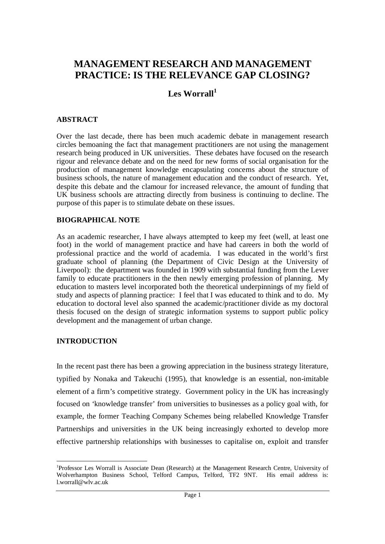# **MANAGEMENT RESEARCH AND MANAGEMENT PRACTICE: IS THE RELEVANCE GAP CLOSING?**

# **Les Worrall<sup>1</sup>**

#### **ABSTRACT**

Over the last decade, there has been much academic debate in management research circles bemoaning the fact that management practitioners are not using the management research being produced in UK universities. These debates have focused on the research rigour and relevance debate and on the need for new forms of social organisation for the production of management knowledge encapsulating concerns about the structure of business schools, the nature of management education and the conduct of research. Yet, despite this debate and the clamour for increased relevance, the amount of funding that UK business schools are attracting directly from business is continuing to decline. The purpose of this paper is to stimulate debate on these issues.

#### **BIOGRAPHICAL NOTE**

As an academic researcher, I have always attempted to keep my feet (well, at least one foot) in the world of management practice and have had careers in both the world of professional practice and the world of academia. I was educated in the world's first graduate school of planning (the Department of Civic Design at the University of Liverpool): the department was founded in 1909 with substantial funding from the Lever family to educate practitioners in the then newly emerging profession of planning. My education to masters level incorporated both the theoretical underpinnings of my field of study and aspects of planning practice: I feel that I was educated to think and to do. My education to doctoral level also spanned the academic/practitioner divide as my doctoral thesis focused on the design of strategic information systems to support public policy development and the management of urban change.

#### **INTRODUCTION**

-

In the recent past there has been a growing appreciation in the business strategy literature, typified by Nonaka and Takeuchi (1995), that knowledge is an essential, non-imitable element of a firm's competitive strategy. Government policy in the UK has increasingly focused on 'knowledge transfer' from universities to businesses as a policy goal with, for example, the former Teaching Company Schemes being relabelled Knowledge Transfer Partnerships and universities in the UK being increasingly exhorted to develop more effective partnership relationships with businesses to capitalise on, exploit and transfer

<sup>1</sup>Professor Les Worrall is Associate Dean (Research) at the Management Research Centre, University of Wolverhampton Business School, Telford Campus, Telford, TF2 9NT. His email address is: l.worrall@wlv.ac.uk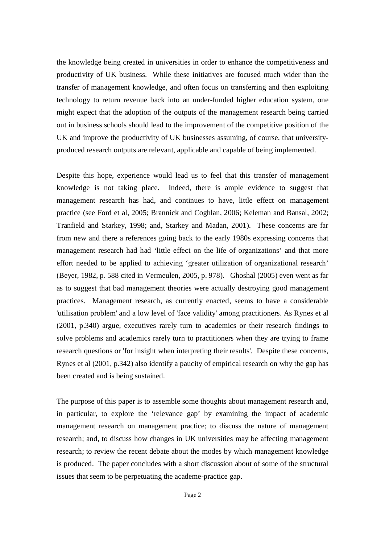the knowledge being created in universities in order to enhance the competitiveness and productivity of UK business. While these initiatives are focused much wider than the transfer of management knowledge, and often focus on transferring and then exploiting technology to return revenue back into an under-funded higher education system, one might expect that the adoption of the outputs of the management research being carried out in business schools should lead to the improvement of the competitive position of the UK and improve the productivity of UK businesses assuming, of course, that universityproduced research outputs are relevant, applicable and capable of being implemented.

Despite this hope, experience would lead us to feel that this transfer of management knowledge is not taking place. Indeed, there is ample evidence to suggest that management research has had, and continues to have, little effect on management practice (see Ford et al, 2005; Brannick and Coghlan, 2006; Keleman and Bansal, 2002; Tranfield and Starkey, 1998; and, Starkey and Madan, 2001). These concerns are far from new and there a references going back to the early 1980s expressing concerns that management research had had 'little effect on the life of organizations' and that more effort needed to be applied to achieving 'greater utilization of organizational research' (Beyer, 1982, p. 588 cited in Vermeulen, 2005, p. 978). Ghoshal (2005) even went as far as to suggest that bad management theories were actually destroying good management practices. Management research, as currently enacted, seems to have a considerable 'utilisation problem' and a low level of 'face validity' among practitioners. As Rynes et al (2001, p.340) argue, executives rarely turn to academics or their research findings to solve problems and academics rarely turn to practitioners when they are trying to frame research questions or 'for insight when interpreting their results'. Despite these concerns, Rynes et al (2001, p.342) also identify a paucity of empirical research on why the gap has been created and is being sustained.

The purpose of this paper is to assemble some thoughts about management research and, in particular, to explore the 'relevance gap' by examining the impact of academic management research on management practice; to discuss the nature of management research; and, to discuss how changes in UK universities may be affecting management research; to review the recent debate about the modes by which management knowledge is produced. The paper concludes with a short discussion about of some of the structural issues that seem to be perpetuating the academe-practice gap.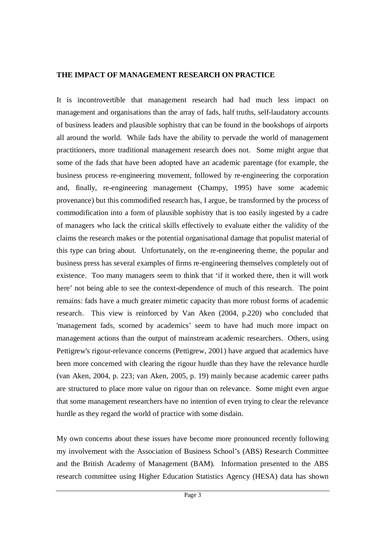#### **THE IMPACT OF MANAGEMENT RESEARCH ON PRACTICE**

It is incontrovertible that management research had had much less impact on management and organisations than the array of fads, half truths, self-laudatory accounts of business leaders and plausible sophistry that can be found in the bookshops of airports all around the world. While fads have the ability to pervade the world of management practitioners, more traditional management research does not. Some might argue that some of the fads that have been adopted have an academic parentage (for example, the business process re-engineering movement, followed by re-engineering the corporation and, finally, re-engineering management (Champy, 1995) have some academic provenance) but this commodified research has, I argue, be transformed by the process of commodification into a form of plausible sophistry that is too easily ingested by a cadre of managers who lack the critical skills effectively to evaluate either the validity of the claims the research makes or the potential organisational damage that populist material of this type can bring about. Unfortunately, on the re-engineering theme, the popular and business press has several examples of firms re-engineering themselves completely out of existence. Too many managers seem to think that 'if it worked there, then it will work here' not being able to see the context-dependence of much of this research. The point remains: fads have a much greater mimetic capacity than more robust forms of academic research. This view is reinforced by Van Aken (2004, p.220) who concluded that 'management fads, scorned by academics' seem to have had much more impact on management actions than the output of mainstream academic researchers. Others, using Pettigrew's rigour-relevance concerns (Pettigrew, 2001) have argued that academics have been more concerned with clearing the rigour hurdle than they have the relevance hurdle (van Aken, 2004, p. 223; van Aken, 2005, p. 19) mainly because academic career paths are structured to place more value on rigour than on relevance. Some might even argue that some management researchers have no intention of even trying to clear the relevance hurdle as they regard the world of practice with some disdain.

My own concerns about these issues have become more pronounced recently following my involvement with the Association of Business School's (ABS) Research Committee and the British Academy of Management (BAM). Information presented to the ABS research committee using Higher Education Statistics Agency (HESA) data has shown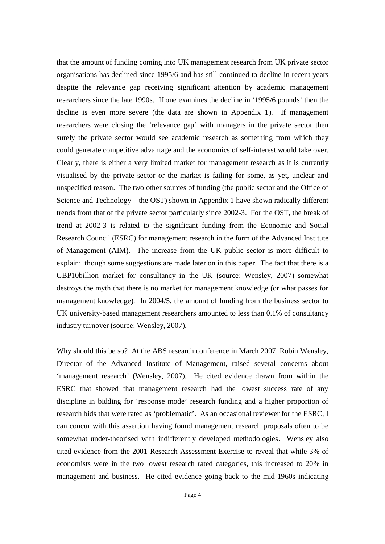that the amount of funding coming into UK management research from UK private sector organisations has declined since 1995/6 and has still continued to decline in recent years despite the relevance gap receiving significant attention by academic management researchers since the late 1990s. If one examines the decline in '1995/6 pounds' then the decline is even more severe (the data are shown in Appendix 1). If management researchers were closing the 'relevance gap' with managers in the private sector then surely the private sector would see academic research as something from which they could generate competitive advantage and the economics of self-interest would take over. Clearly, there is either a very limited market for management research as it is currently visualised by the private sector or the market is failing for some, as yet, unclear and unspecified reason. The two other sources of funding (the public sector and the Office of Science and Technology – the OST) shown in Appendix 1 have shown radically different trends from that of the private sector particularly since 2002-3. For the OST, the break of trend at 2002-3 is related to the significant funding from the Economic and Social Research Council (ESRC) for management research in the form of the Advanced Institute of Management (AIM). The increase from the UK public sector is more difficult to explain: though some suggestions are made later on in this paper. The fact that there is a GBP10billion market for consultancy in the UK (source: Wensley, 2007) somewhat destroys the myth that there is no market for management knowledge (or what passes for management knowledge). In 2004/5, the amount of funding from the business sector to UK university-based management researchers amounted to less than 0.1% of consultancy industry turnover (source: Wensley, 2007).

Why should this be so? At the ABS research conference in March 2007, Robin Wensley, Director of the Advanced Institute of Management, raised several concerns about 'management research' (Wensley, 2007). He cited evidence drawn from within the ESRC that showed that management research had the lowest success rate of any discipline in bidding for 'response mode' research funding and a higher proportion of research bids that were rated as 'problematic'. As an occasional reviewer for the ESRC, I can concur with this assertion having found management research proposals often to be somewhat under-theorised with indifferently developed methodologies. Wensley also cited evidence from the 2001 Research Assessment Exercise to reveal that while 3% of economists were in the two lowest research rated categories, this increased to 20% in management and business. He cited evidence going back to the mid-1960s indicating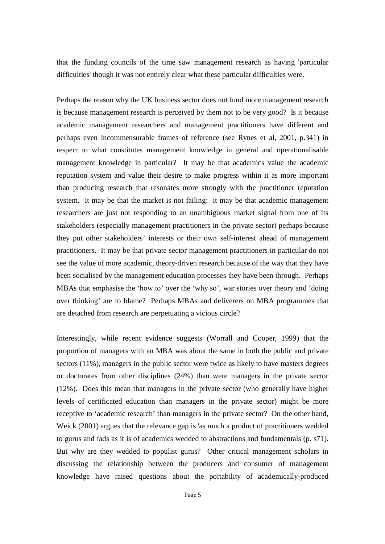that the funding councils of the time saw management research as having 'particular difficulties' though it was not entirely clear what these particular difficulties were.

Perhaps the reason why the UK business sector does not fund more management research is because management research is perceived by them not to be very good? Is it because academic management researchers and management practitioners have different and perhaps even incommensurable frames of reference (see Rynes et al, 2001, p.341) in respect to what constitutes management knowledge in general and operationalisable management knowledge in particular? It may be that academics value the academic reputation system and value their desire to make progress within it as more important than producing research that resonates more strongly with the practitioner reputation system. It may be that the market is not failing: it may be that academic management researchers are just not responding to an unambiguous market signal from one of its stakeholders (especially management practitioners in the private sector) perhaps because they put other stakeholders' interests or their own self-interest ahead of management practitioners. It may be that private sector management practitioners in particular do not see the value of more academic, theory-driven research because of the way that they have been socialised by the management education processes they have been through. Perhaps MBAs that emphasise the 'how to' over the 'why so', war stories over theory and 'doing over thinking' are to blame? Perhaps MBAs and deliverers on MBA programmes that are detached from research are perpetuating a vicious circle?

Interestingly, while recent evidence suggests (Worrall and Cooper, 1999) that the proportion of managers with an MBA was about the same in both the public and private sectors (11%), managers in the public sector were twice as likely to have masters degrees or doctorates from other disciplines (24%) than were managers in the private sector (12%). Does this mean that managers in the private sector (who generally have higher levels of certificated education than managers in the private sector) might be more receptive to 'academic research' than managers in the private sector? On the other hand, Weick (2001) argues that the relevance gap is 'as much a product of practitioners wedded to gurus and fads as it is of academics wedded to abstractions and fundamentals (p. s71). But why are they wedded to populist gurus? Other critical management scholars in discussing the relationship between the producers and consumer of management knowledge have raised questions about the portability of academically-produced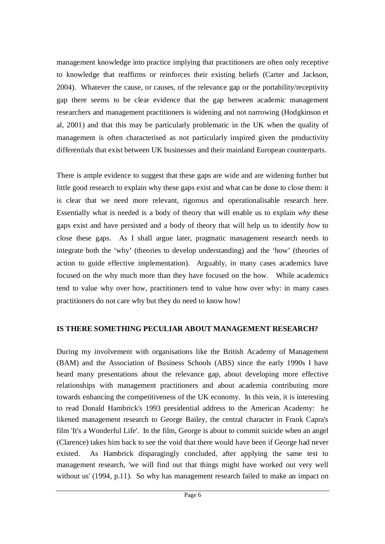management knowledge into practice implying that practitioners are often only receptive to knowledge that reaffirms or reinforces their existing beliefs (Carter and Jackson, 2004). Whatever the cause, or causes, of the relevance gap or the portability/receptivity gap there seems to be clear evidence that the gap between academic management researchers and management practitioners is widening and not narrowing (Hodgkinson et al, 2001) and that this may be particularly problematic in the UK when the quality of management is often characterised as not particularly inspired given the productivity differentials that exist between UK businesses and their mainland European counterparts.

There is ample evidence to suggest that these gaps are wide and are widening further but little good research to explain why these gaps exist and what can be done to close them: it is clear that we need more relevant, rigorous and operationalisable research here. Essentially what is needed is a body of theory that will enable us to explain *why* these gaps exist and have persisted and a body of theory that will help us to identify *how* to close these gaps. As I shall argue later, pragmatic management research needs to integrate both the 'why' (theories to develop understanding) and the 'how' (theories of action to guide effective implementation). Arguably, in many cases academics have focused on the why much more than they have focused on the how. While academics tend to value why over how, practitioners tend to value how over why: in many cases practitioners do not care why but they do need to know how!

# **IS THERE SOMETHING PECULIAR ABOUT MANAGEMENT RESEARCH?**

During my involvement with organisations like the British Academy of Management (BAM) and the Association of Business Schools (ABS) since the early 1990s I have heard many presentations about the relevance gap, about developing more effective relationships with management practitioners and about academia contributing more towards enhancing the competitiveness of the UK economy. In this vein, it is interesting to read Donald Hambrick's 1993 presidential address to the American Academy: he likened management research to George Bailey, the central character in Frank Capra's film 'It's a Wonderful Life'. In the film, George is about to commit suicide when an angel (Clarence) takes him back to see the void that there would have been if George had never existed. As Hambrick disparagingly concluded, after applying the same test to management research, 'we will find out that things might have worked out very well without us' (1994, p.11). So why has management research failed to make an impact on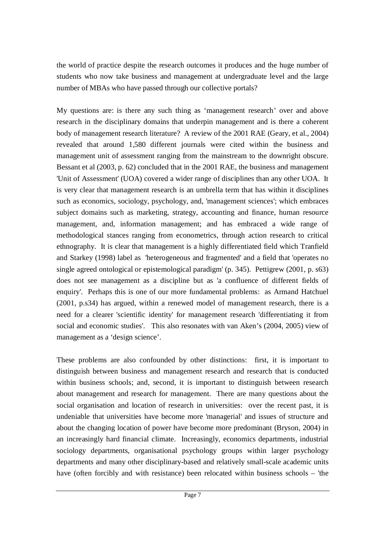the world of practice despite the research outcomes it produces and the huge number of students who now take business and management at undergraduate level and the large number of MBAs who have passed through our collective portals?

My questions are: is there any such thing as 'management research' over and above research in the disciplinary domains that underpin management and is there a coherent body of management research literature? A review of the 2001 RAE (Geary, et al., 2004) revealed that around 1,580 different journals were cited within the business and management unit of assessment ranging from the mainstream to the downright obscure. Bessant et al (2003, p. 62) concluded that in the 2001 RAE, the business and management 'Unit of Assessment' (UOA) covered a wider range of disciplines than any other UOA. It is very clear that management research is an umbrella term that has within it disciplines such as economics, sociology, psychology, and, 'management sciences'; which embraces subject domains such as marketing, strategy, accounting and finance, human resource management, and, information management; and has embraced a wide range of methodological stances ranging from econometrics, through action research to critical ethnography. It is clear that management is a highly differentiated field which Tranfield and Starkey (1998) label as 'heterogeneous and fragmented' and a field that 'operates no single agreed ontological or epistemological paradigm' (p. 345). Pettigrew (2001, p. s63) does not see management as a discipline but as 'a confluence of different fields of enquiry'. Perhaps this is one of our more fundamental problems: as Armand Hatchuel (2001, p.s34) has argued, within a renewed model of management research, there is a need for a clearer 'scientific identity' for management research 'differentiating it from social and economic studies'. This also resonates with van Aken's (2004, 2005) view of management as a 'design science'.

These problems are also confounded by other distinctions: first, it is important to distinguish between business and management research and research that is conducted within business schools; and, second, it is important to distinguish between research about management and research for management. There are many questions about the social organisation and location of research in universities: over the recent past, it is undeniable that universities have become more 'managerial' and issues of structure and about the changing location of power have become more predominant (Bryson, 2004) in an increasingly hard financial climate. Increasingly, economics departments, industrial sociology departments, organisational psychology groups within larger psychology departments and many other disciplinary-based and relatively small-scale academic units have (often forcibly and with resistance) been relocated within business schools – 'the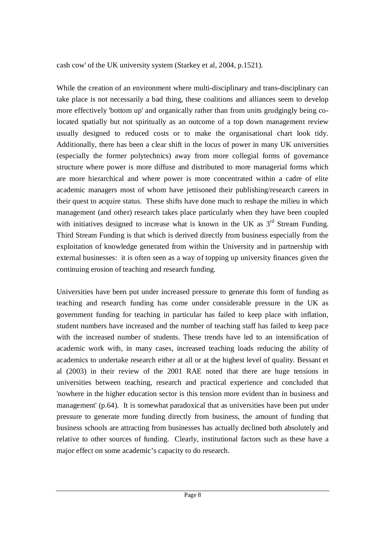cash cow' of the UK university system (Starkey et al, 2004, p.1521).

While the creation of an environment where multi-disciplinary and trans-disciplinary can take place is not necessarily a bad thing, these coalitions and alliances seem to develop more effectively 'bottom up' and organically rather than from units grudgingly being colocated spatially but not spiritually as an outcome of a top down management review usually designed to reduced costs or to make the organisational chart look tidy. Additionally, there has been a clear shift in the locus of power in many UK universities (especially the former polytechnics) away from more collegial forms of governance structure where power is more diffuse and distributed to more managerial forms which are more hierarchical and where power is more concentrated within a cadre of elite academic managers most of whom have jettisoned their publishing/research careers in their quest to acquire status. These shifts have done much to reshape the milieu in which management (and other) research takes place particularly when they have been coupled with initiatives designed to increase what is known in the UK as 3<sup>rd</sup> Stream Funding. Third Stream Funding is that which is derived directly from business especially from the exploitation of knowledge generated from within the University and in partnership with external businesses: it is often seen as a way of topping up university finances given the continuing erosion of teaching and research funding.

Universities have been put under increased pressure to generate this form of funding as teaching and research funding has come under considerable pressure in the UK as government funding for teaching in particular has failed to keep place with inflation, student numbers have increased and the number of teaching staff has failed to keep pace with the increased number of students. These trends have led to an intensification of academic work with, in many cases, increased teaching loads reducing the ability of academics to undertake research either at all or at the highest level of quality. Bessant et al (2003) in their review of the 2001 RAE noted that there are huge tensions in universities between teaching, research and practical experience and concluded that 'nowhere in the higher education sector is this tension more evident than in business and management' (p.64). It is somewhat paradoxical that as universities have been put under pressure to generate more funding directly from business, the amount of funding that business schools are attracting from businesses has actually declined both absolutely and relative to other sources of funding. Clearly, institutional factors such as these have a major effect on some academic's capacity to do research.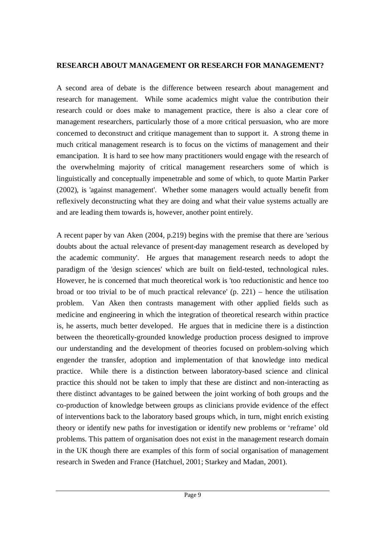### **RESEARCH ABOUT MANAGEMENT OR RESEARCH FOR MANAGEMENT?**

A second area of debate is the difference between research about management and research for management. While some academics might value the contribution their research could or does make to management practice, there is also a clear core of management researchers, particularly those of a more critical persuasion, who are more concerned to deconstruct and critique management than to support it. A strong theme in much critical management research is to focus on the victims of management and their emancipation. It is hard to see how many practitioners would engage with the research of the overwhelming majority of critical management researchers some of which is linguistically and conceptually impenetrable and some of which, to quote Martin Parker (2002), is 'against management'. Whether some managers would actually benefit from reflexively deconstructing what they are doing and what their value systems actually are and are leading them towards is, however, another point entirely.

A recent paper by van Aken (2004, p.219) begins with the premise that there are 'serious doubts about the actual relevance of present-day management research as developed by the academic community'. He argues that management research needs to adopt the paradigm of the 'design sciences' which are built on field-tested, technological rules. However, he is concerned that much theoretical work is 'too reductionistic and hence too broad or too trivial to be of much practical relevance'  $(p. 221)$  – hence the utilisation problem. Van Aken then contrasts management with other applied fields such as medicine and engineering in which the integration of theoretical research within practice is, he asserts, much better developed. He argues that in medicine there is a distinction between the theoretically-grounded knowledge production process designed to improve our understanding and the development of theories focused on problem-solving which engender the transfer, adoption and implementation of that knowledge into medical practice. While there is a distinction between laboratory-based science and clinical practice this should not be taken to imply that these are distinct and non-interacting as there distinct advantages to be gained between the joint working of both groups and the co-production of knowledge between groups as clinicians provide evidence of the effect of interventions back to the laboratory based groups which, in turn, might enrich existing theory or identify new paths for investigation or identify new problems or 'reframe' old problems. This pattern of organisation does not exist in the management research domain in the UK though there are examples of this form of social organisation of management research in Sweden and France (Hatchuel, 2001; Starkey and Madan, 2001).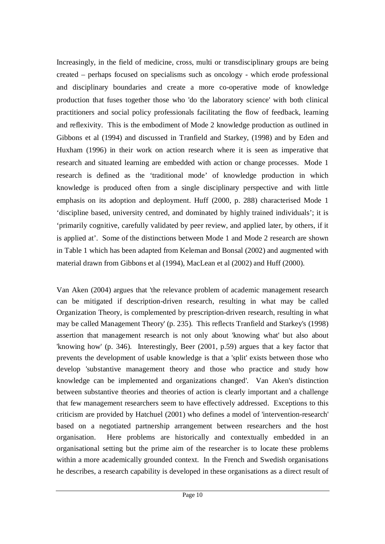Increasingly, in the field of medicine, cross, multi or transdisciplinary groups are being created – perhaps focused on specialisms such as oncology - which erode professional and disciplinary boundaries and create a more co-operative mode of knowledge production that fuses together those who 'do the laboratory science' with both clinical practitioners and social policy professionals facilitating the flow of feedback, learning and reflexivity. This is the embodiment of Mode 2 knowledge production as outlined in Gibbons et al (1994) and discussed in Tranfield and Starkey, (1998) and by Eden and Huxham (1996) in their work on action research where it is seen as imperative that research and situated learning are embedded with action or change processes. Mode 1 research is defined as the 'traditional mode' of knowledge production in which knowledge is produced often from a single disciplinary perspective and with little emphasis on its adoption and deployment. Huff (2000, p. 288) characterised Mode 1 'discipline based, university centred, and dominated by highly trained individuals'; it is 'primarily cognitive, carefully validated by peer review, and applied later, by others, if it is applied at'. Some of the distinctions between Mode 1 and Mode 2 research are shown in Table 1 which has been adapted from Keleman and Bonsal (2002) and augmented with material drawn from Gibbons et al (1994), MacLean et al (2002) and Huff (2000).

Van Aken (2004) argues that 'the relevance problem of academic management research can be mitigated if description-driven research, resulting in what may be called Organization Theory, is complemented by prescription-driven research, resulting in what may be called Management Theory' (p. 235). This reflects Tranfield and Starkey's (1998) assertion that management research is not only about 'knowing what' but also about 'knowing how' (p. 346). Interestingly, Beer (2001, p.59) argues that a key factor that prevents the development of usable knowledge is that a 'split' exists between those who develop 'substantive management theory and those who practice and study how knowledge can be implemented and organizations changed'. Van Aken's distinction between substantive theories and theories of action is clearly important and a challenge that few management researchers seem to have effectively addressed. Exceptions to this criticism are provided by Hatchuel (2001) who defines a model of 'intervention-research' based on a negotiated partnership arrangement between researchers and the host organisation. Here problems are historically and contextually embedded in an organisational setting but the prime aim of the researcher is to locate these problems within a more academically grounded context. In the French and Swedish organisations he describes, a research capability is developed in these organisations as a direct result of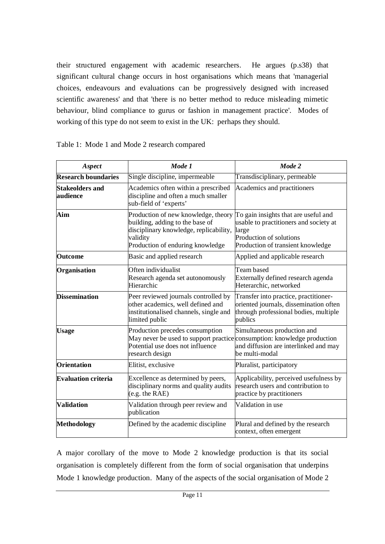their structured engagement with academic researchers. He argues (p.s38) that significant cultural change occurs in host organisations which means that 'managerial choices, endeavours and evaluations can be progressively designed with increased scientific awareness' and that 'there is no better method to reduce misleading mimetic behaviour, blind compliance to gurus or fashion in management practice'. Modes of working of this type do not seem to exist in the UK: perhaps they should.

| Aspect                             | Mode 1                                                                                                                                                            | Mode 2                                                                                                                                                  |  |
|------------------------------------|-------------------------------------------------------------------------------------------------------------------------------------------------------------------|---------------------------------------------------------------------------------------------------------------------------------------------------------|--|
| <b>Research boundaries</b>         | Single discipline, impermeable                                                                                                                                    | Transdisciplinary, permeable                                                                                                                            |  |
| <b>Stakeolders and</b><br>audience | Academics often within a prescribed<br>discipline and often a much smaller<br>sub-field of 'experts'                                                              | Academics and practitioners                                                                                                                             |  |
| Aim                                | Production of new knowledge, theory<br>building, adding to the base of<br>disciplinary knowledge, replicability,<br>validity<br>Production of enduring knowledge  | To gain insights that are useful and<br>usable to practitioners and society at<br>large<br>Production of solutions<br>Production of transient knowledge |  |
| <b>Outcome</b>                     | Basic and applied research                                                                                                                                        | Applied and applicable research                                                                                                                         |  |
| Organisation                       | Often individualist<br>Research agenda set autonomously<br>Hierarchic                                                                                             | Team based<br>Externally defined research agenda<br>Heterarchic, networked                                                                              |  |
| <b>Dissemination</b>               | Peer reviewed journals controlled by<br>other academics, well defined and<br>institutionalised channels, single and<br>limited public                             | Transfer into practice, practitioner-<br>oriented journals, dissemination often<br>through professional bodies, multiple<br>publics                     |  |
| <b>Usage</b>                       | Production precedes consumption<br>May never be used to support practice consumption: knowledge production<br>Potential use does not influence<br>research design | Simultaneous production and<br>and diffusion are interlinked and may<br>be multi-modal                                                                  |  |
| <b>Orientation</b>                 | Elitist, exclusive                                                                                                                                                | Pluralist, participatory                                                                                                                                |  |
| <b>Evaluation criteria</b>         | Excellence as determined by peers,<br>disciplinary norms and quality audits<br>(e.g. the RAE)                                                                     | Applicability, perceived usefulness by<br>research users and contribution to<br>practice by practitioners                                               |  |
| <b>Validation</b>                  | Validation through peer review and<br>publication                                                                                                                 | Validation in use                                                                                                                                       |  |
| Methodology                        | Defined by the academic discipline                                                                                                                                | Plural and defined by the research<br>context, often emergent                                                                                           |  |

|  |  |  | Table 1: Mode 1 and Mode 2 research compared |  |
|--|--|--|----------------------------------------------|--|
|--|--|--|----------------------------------------------|--|

A major corollary of the move to Mode 2 knowledge production is that its social organisation is completely different from the form of social organisation that underpins Mode 1 knowledge production. Many of the aspects of the social organisation of Mode 2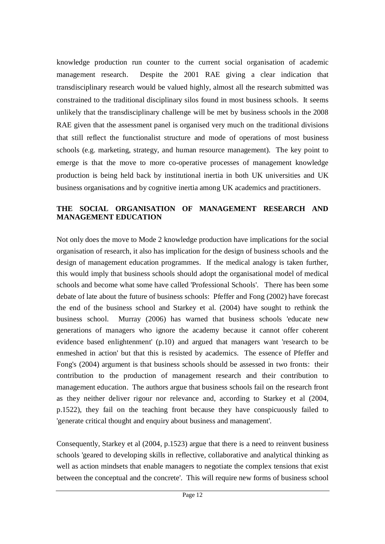knowledge production run counter to the current social organisation of academic management research. Despite the 2001 RAE giving a clear indication that transdisciplinary research would be valued highly, almost all the research submitted was constrained to the traditional disciplinary silos found in most business schools. It seems unlikely that the transdisciplinary challenge will be met by business schools in the 2008 RAE given that the assessment panel is organised very much on the traditional divisions that still reflect the functionalist structure and mode of operations of most business schools (e.g. marketing, strategy, and human resource management). The key point to emerge is that the move to more co-operative processes of management knowledge production is being held back by institutional inertia in both UK universities and UK business organisations and by cognitive inertia among UK academics and practitioners.

#### **THE SOCIAL ORGANISATION OF MANAGEMENT RESEARCH AND MANAGEMENT EDUCATION**

Not only does the move to Mode 2 knowledge production have implications for the social organisation of research, it also has implication for the design of business schools and the design of management education programmes. If the medical analogy is taken further, this would imply that business schools should adopt the organisational model of medical schools and become what some have called 'Professional Schools'. There has been some debate of late about the future of business schools: Pfeffer and Fong (2002) have forecast the end of the business school and Starkey et al. (2004) have sought to rethink the business school. Murray (2006) has warned that business schools 'educate new generations of managers who ignore the academy because it cannot offer coherent evidence based enlightenment' (p.10) and argued that managers want 'research to be enmeshed in action' but that this is resisted by academics. The essence of Pfeffer and Fong's (2004) argument is that business schools should be assessed in two fronts: their contribution to the production of management research and their contribution to management education. The authors argue that business schools fail on the research front as they neither deliver rigour nor relevance and, according to Starkey et al (2004, p.1522), they fail on the teaching front because they have conspicuously failed to 'generate critical thought and enquiry about business and management'.

Consequently, Starkey et al (2004, p.1523) argue that there is a need to reinvent business schools 'geared to developing skills in reflective, collaborative and analytical thinking as well as action mindsets that enable managers to negotiate the complex tensions that exist between the conceptual and the concrete'. This will require new forms of business school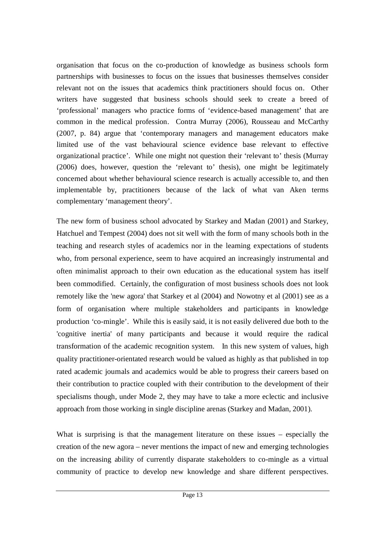organisation that focus on the co-production of knowledge as business schools form partnerships with businesses to focus on the issues that businesses themselves consider relevant not on the issues that academics think practitioners should focus on. Other writers have suggested that business schools should seek to create a breed of 'professional' managers who practice forms of 'evidence-based management' that are common in the medical profession. Contra Murray (2006), Rousseau and McCarthy (2007, p. 84) argue that 'contemporary managers and management educators make limited use of the vast behavioural science evidence base relevant to effective organizational practice'. While one might not question their 'relevant to' thesis (Murray (2006) does, however, question the 'relevant to' thesis), one might be legitimately concerned about whether behavioural science research is actually accessible to, and then implementable by, practitioners because of the lack of what van Aken terms complementary 'management theory'.

The new form of business school advocated by Starkey and Madan (2001) and Starkey, Hatchuel and Tempest (2004) does not sit well with the form of many schools both in the teaching and research styles of academics nor in the learning expectations of students who, from personal experience, seem to have acquired an increasingly instrumental and often minimalist approach to their own education as the educational system has itself been commodified. Certainly, the configuration of most business schools does not look remotely like the 'new agora' that Starkey et al (2004) and Nowotny et al (2001) see as a form of organisation where multiple stakeholders and participants in knowledge production 'co-mingle'. While this is easily said, it is not easily delivered due both to the 'cognitive inertia' of many participants and because it would require the radical transformation of the academic recognition system. In this new system of values, high quality practitioner-orientated research would be valued as highly as that published in top rated academic journals and academics would be able to progress their careers based on their contribution to practice coupled with their contribution to the development of their specialisms though, under Mode 2, they may have to take a more eclectic and inclusive approach from those working in single discipline arenas (Starkey and Madan, 2001).

What is surprising is that the management literature on these issues – especially the creation of the new agora – never mentions the impact of new and emerging technologies on the increasing ability of currently disparate stakeholders to co-mingle as a virtual community of practice to develop new knowledge and share different perspectives.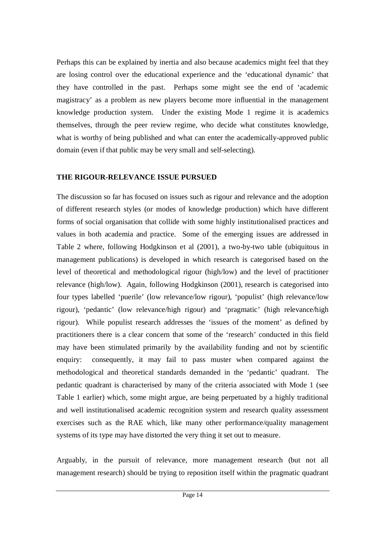Perhaps this can be explained by inertia and also because academics might feel that they are losing control over the educational experience and the 'educational dynamic' that they have controlled in the past. Perhaps some might see the end of 'academic magistracy' as a problem as new players become more influential in the management knowledge production system. Under the existing Mode 1 regime it is academics themselves, through the peer review regime, who decide what constitutes knowledge, what is worthy of being published and what can enter the academically-approved public domain (even if that public may be very small and self-selecting).

#### **THE RIGOUR-RELEVANCE ISSUE PURSUED**

The discussion so far has focused on issues such as rigour and relevance and the adoption of different research styles (or modes of knowledge production) which have different forms of social organisation that collide with some highly institutionalised practices and values in both academia and practice. Some of the emerging issues are addressed in Table 2 where, following Hodgkinson et al (2001), a two-by-two table (ubiquitous in management publications) is developed in which research is categorised based on the level of theoretical and methodological rigour (high/low) and the level of practitioner relevance (high/low). Again, following Hodgkinson (2001), research is categorised into four types labelled 'puerile' (low relevance/low rigour), 'populist' (high relevance/low rigour), 'pedantic' (low relevance/high rigour) and 'pragmatic' (high relevance/high rigour). While populist research addresses the 'issues of the moment' as defined by practitioners there is a clear concern that some of the 'research' conducted in this field may have been stimulated primarily by the availability funding and not by scientific enquiry: consequently, it may fail to pass muster when compared against the methodological and theoretical standards demanded in the 'pedantic' quadrant. The pedantic quadrant is characterised by many of the criteria associated with Mode 1 (see Table 1 earlier) which, some might argue, are being perpetuated by a highly traditional and well institutionalised academic recognition system and research quality assessment exercises such as the RAE which, like many other performance/quality management systems of its type may have distorted the very thing it set out to measure.

Arguably, in the pursuit of relevance, more management research (but not all management research) should be trying to reposition itself within the pragmatic quadrant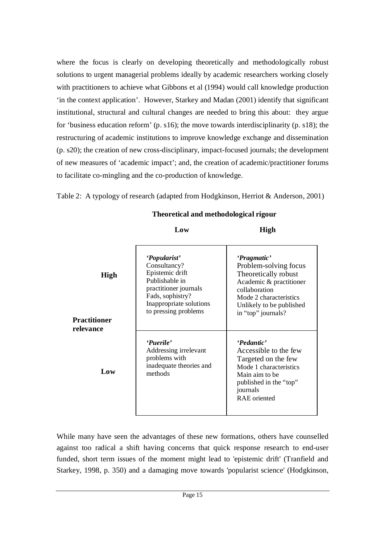where the focus is clearly on developing theoretically and methodologically robust solutions to urgent managerial problems ideally by academic researchers working closely with practitioners to achieve what Gibbons et al (1994) would call knowledge production 'in the context application'. However, Starkey and Madan (2001) identify that significant institutional, structural and cultural changes are needed to bring this about: they argue for 'business education reform' (p. s16); the move towards interdisciplinarity (p. s18); the restructuring of academic institutions to improve knowledge exchange and dissemination (p. s20); the creation of new cross-disciplinary, impact-focused journals; the development of new measures of 'academic impact'; and, the creation of academic/practitioner forums to facilitate co-mingling and the co-production of knowledge.

Table 2: A typology of research (adapted from Hodgkinson, Herriot & Anderson, 2001)

# **Theoretical and methodological rigour**

| High<br>Practitioner<br>relevance | 'Popularist'<br>Consultancy?<br>Epistemic drift<br>Publishable in<br>practitioner journals<br>Fads, sophistry?<br>Inappropriate solutions<br>to pressing problems | 'Pragmatic'<br>Problem-solving focus<br>Theoretically robust<br>Academic & practitioner<br>collaboration<br>Mode 2 characteristics<br>Unlikely to be published<br>in "top" journals? |
|-----------------------------------|-------------------------------------------------------------------------------------------------------------------------------------------------------------------|--------------------------------------------------------------------------------------------------------------------------------------------------------------------------------------|
| Low                               | 'Puerile'<br>Addressing irrelevant<br>problems with<br>inadequate theories and<br>methods                                                                         | 'Pedantic'<br>Accessible to the few<br>Targeted on the few<br>Mode 1 characteristics<br>Main aim to be<br>published in the "top"<br>journals<br><b>RAE</b> oriented                  |

**Low**

**High**

While many have seen the advantages of these new formations, others have counselled against too radical a shift having concerns that quick response research to end-user funded, short term issues of the moment might lead to 'epistemic drift' (Tranfield and Starkey, 1998, p. 350) and a damaging move towards 'popularist science' (Hodgkinson,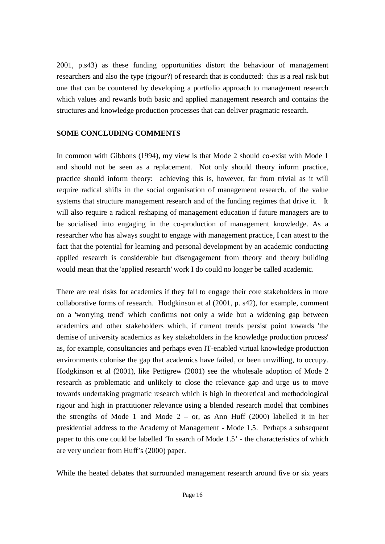2001, p.s43) as these funding opportunities distort the behaviour of management researchers and also the type (rigour?) of research that is conducted: this is a real risk but one that can be countered by developing a portfolio approach to management research which values and rewards both basic and applied management research and contains the structures and knowledge production processes that can deliver pragmatic research.

### **SOME CONCLUDING COMMENTS**

In common with Gibbons (1994), my view is that Mode 2 should co-exist with Mode 1 and should not be seen as a replacement. Not only should theory inform practice, practice should inform theory: achieving this is, however, far from trivial as it will require radical shifts in the social organisation of management research, of the value systems that structure management research and of the funding regimes that drive it. It will also require a radical reshaping of management education if future managers are to be socialised into engaging in the co-production of management knowledge. As a researcher who has always sought to engage with management practice, I can attest to the fact that the potential for learning and personal development by an academic conducting applied research is considerable but disengagement from theory and theory building would mean that the 'applied research' work I do could no longer be called academic.

There are real risks for academics if they fail to engage their core stakeholders in more collaborative forms of research. Hodgkinson et al (2001, p. s42), for example, comment on a 'worrying trend' which confirms not only a wide but a widening gap between academics and other stakeholders which, if current trends persist point towards 'the demise of university academics as key stakeholders in the knowledge production process' as, for example, consultancies and perhaps even IT-enabled virtual knowledge production environments colonise the gap that academics have failed, or been unwilling, to occupy. Hodgkinson et al (2001), like Pettigrew (2001) see the wholesale adoption of Mode 2 research as problematic and unlikely to close the relevance gap and urge us to move towards undertaking pragmatic research which is high in theoretical and methodological rigour and high in practitioner relevance using a blended research model that combines the strengths of Mode 1 and Mode  $2 - or$ , as Ann Huff (2000) labelled it in her presidential address to the Academy of Management - Mode 1.5. Perhaps a subsequent paper to this one could be labelled 'In search of Mode 1.5' - the characteristics of which are very unclear from Huff's (2000) paper.

While the heated debates that surrounded management research around five or six years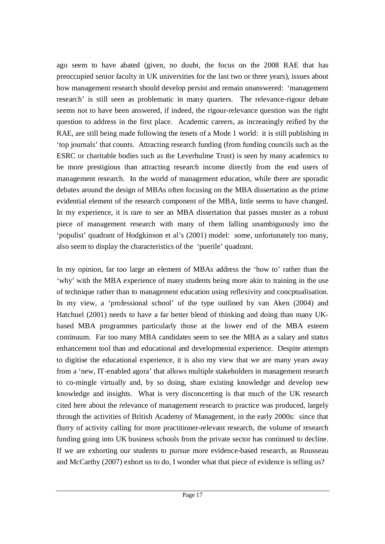ago seem to have abated (given, no doubt, the focus on the 2008 RAE that has preoccupied senior faculty in UK universities for the last two or three years), issues about how management research should develop persist and remain unanswered: 'management research' is still seen as problematic in many quarters. The relevance-rigour debate seems not to have been answered, if indeed, the rigour-relevance question was the right question to address in the first place. Academic careers, as increasingly reified by the RAE, are still being made following the tenets of a Mode 1 world: it is still publishing in 'top journals' that counts. Attracting research funding (from funding councils such as the ESRC or charitable bodies such as the Leverhulme Trust) is seen by many academics to be more prestigious than attracting research income directly from the end users of management research. In the world of management education, while there are sporadic debates around the design of MBAs often focusing on the MBA dissertation as the prime evidential element of the research component of the MBA, little seems to have changed. In my experience, it is rare to see an MBA dissertation that passes muster as a robust piece of management research with many of them falling unambiguously into the 'populist' quadrant of Hodgkinson et al's (2001) model: some, unfortunately too many, also seem to display the characteristics of the 'puerile' quadrant.

In my opinion, far too large an element of MBAs address the 'how to' rather than the 'why' with the MBA experience of many students being more akin to training in the use of technique rather than to management education using reflexivity and concptualisation. In my view, a 'professional school' of the type outlined by van Aken (2004) and Hatchuel (2001) needs to have a far better blend of thinking and doing than many UKbased MBA programmes particularly those at the lower end of the MBA esteem continuum. Far too many MBA candidates seem to see the MBA as a salary and status enhancement tool than and educational and developmental experience. Despite attempts to digitise the educational experience, it is also my view that we are many years away from a 'new, IT-enabled agora' that allows multiple stakeholders in management research to co-mingle virtually and, by so doing, share existing knowledge and develop new knowledge and insights. What is very disconcerting is that much of the UK research cited here about the relevance of management research to practice was produced, largely through the activities of British Academy of Management, in the early 2000s: since that flurry of activity calling for more practitioner-relevant research, the volume of research funding going into UK business schools from the private sector has continued to decline. If we are exhorting our students to pursue more evidence-based research, as Rousseau and McCarthy (2007) exhort us to do, I wonder what that piece of evidence is telling us?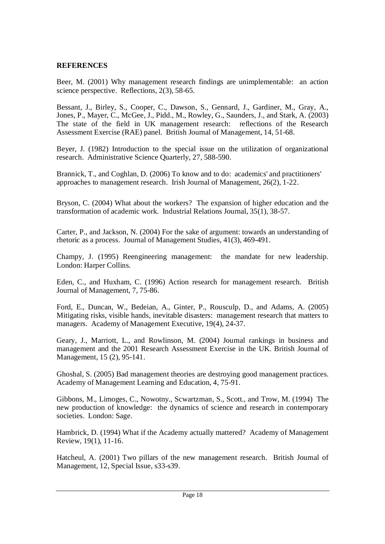#### **REFERENCES**

Beer, M. (2001) Why management research findings are unimplementable: an action science perspective. Reflections, 2(3), 58-65.

Bessant, J., Birley, S., Cooper, C., Dawson, S., Gennard, J., Gardiner, M., Gray, A., Jones, P., Mayer, C., McGee, J., Pidd., M., Rowley, G., Saunders, J., and Stark, A. (2003) The state of the field in UK management research: reflections of the Research Assessment Exercise (RAE) panel. British Journal of Management, 14, 51-68.

Beyer, J. (1982) Introduction to the special issue on the utilization of organizational research. Administrative Science Quarterly, 27, 588-590.

Brannick, T., and Coghlan, D. (2006) To know and to do: academics' and practitioners' approaches to management research. Irish Journal of Management, 26(2), 1-22.

Bryson, C. (2004) What about the workers? The expansion of higher education and the transformation of academic work. Industrial Relations Journal, 35(1), 38-57.

Carter, P., and Jackson, N. (2004) For the sake of argument: towards an understanding of rhetoric as a process. Journal of Management Studies, 41(3), 469-491.

Champy, J. (1995) Reengineering management: the mandate for new leadership. London: Harper Collins.

Eden, C., and Huxham, C. (1996) Action research for management research. British Journal of Management, 7, 75-86.

Ford, E., Duncan, W., Bedeian, A., Ginter, P., Rousculp, D., and Adams, A. (2005) Mitigating risks, visible hands, inevitable disasters: management research that matters to managers. Academy of Management Executive, 19(4), 24-37.

Geary, J., Marriott, L., and Rowlinson, M. (2004) Journal rankings in business and management and the 2001 Research Assessment Exercise in the UK. British Journal of Management, 15 (2), 95-141.

Ghoshal, S. (2005) Bad management theories are destroying good management practices. Academy of Management Learning and Education, 4, 75-91.

Gibbons, M., Limoges, C., Nowotny., Scwartzman, S., Scott., and Trow, M. (1994) The new production of knowledge: the dynamics of science and research in contemporary societies. London: Sage.

Hambrick, D. (1994) What if the Academy actually mattered? Academy of Management Review, 19(1), 11-16.

Hatcheul, A. (2001) Two pillars of the new management research. British Journal of Management, 12, Special Issue, s33-s39.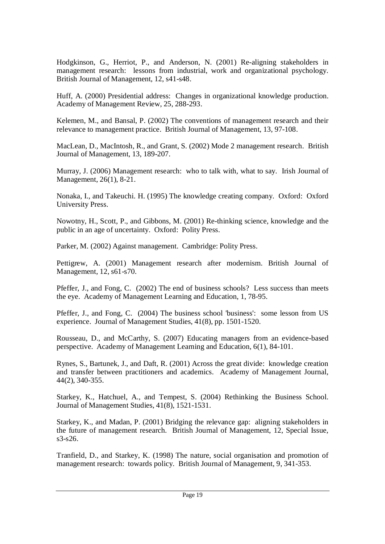Hodgkinson, G., Herriot, P., and Anderson, N. (2001) Re-aligning stakeholders in management research: lessons from industrial, work and organizational psychology. British Journal of Management, 12, s41-s48.

Huff, A. (2000) Presidential address: Changes in organizational knowledge production. Academy of Management Review, 25, 288-293.

Kelemen, M., and Bansal, P. (2002) The conventions of management research and their relevance to management practice. British Journal of Management, 13, 97-108.

MacLean, D., MacIntosh, R., and Grant, S. (2002) Mode 2 management research. British Journal of Management, 13, 189-207.

Murray, J. (2006) Management research: who to talk with, what to say. Irish Journal of Management, 26(1), 8-21.

Nonaka, I., and Takeuchi. H. (1995) The knowledge creating company. Oxford: Oxford University Press.

Nowotny, H., Scott, P., and Gibbons, M. (2001) Re-thinking science, knowledge and the public in an age of uncertainty. Oxford: Polity Press.

Parker, M. (2002) Against management. Cambridge: Polity Press.

Pettigrew, A. (2001) Management research after modernism. British Journal of Management, 12, s61-s70.

Pfeffer, J., and Fong, C. (2002) The end of business schools? Less success than meets the eye. Academy of Management Learning and Education, 1, 78-95.

Pfeffer, J., and Fong, C. (2004) The business school 'business': some lesson from US experience. Journal of Management Studies, 41(8), pp. 1501-1520.

Rousseau, D., and McCarthy, S. (2007) Educating managers from an evidence-based perspective. Academy of Management Learning and Education, 6(1), 84-101.

Rynes, S., Bartunek, J., and Daft, R. (2001) Across the great divide: knowledge creation and transfer between practitioners and academics. Academy of Management Journal, 44(2), 340-355.

Starkey, K., Hatchuel, A., and Tempest, S. (2004) Rethinking the Business School. Journal of Management Studies, 41(8), 1521-1531.

Starkey, K., and Madan, P. (2001) Bridging the relevance gap: aligning stakeholders in the future of management research. British Journal of Management, 12, Special Issue, s3-s26.

Tranfield, D., and Starkey, K. (1998) The nature, social organisation and promotion of management research: towards policy. British Journal of Management, 9, 341-353.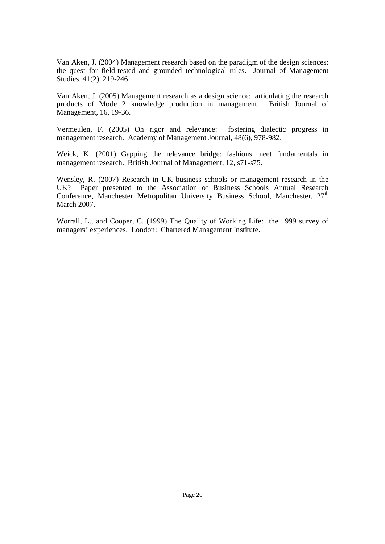Van Aken, J. (2004) Management research based on the paradigm of the design sciences: the quest for field-tested and grounded technological rules. Journal of Management Studies, 41(2), 219-246.

Van Aken, J. (2005) Management research as a design science: articulating the research products of Mode 2 knowledge production in management. British Journal of Management, 16, 19-36.

Vermeulen, F. (2005) On rigor and relevance: fostering dialectic progress in management research. Academy of Management Journal, 48(6), 978-982.

Weick, K. (2001) Gapping the relevance bridge: fashions meet fundamentals in management research. British Journal of Management, 12, s71-s75.

Wensley, R. (2007) Research in UK business schools or management research in the UK? Paper presented to the Association of Business Schools Annual Research Conference, Manchester Metropolitan University Business School, Manchester, 27<sup>th</sup> March 2007.

Worrall, L., and Cooper, C. (1999) The Quality of Working Life: the 1999 survey of managers' experiences. London: Chartered Management Institute.